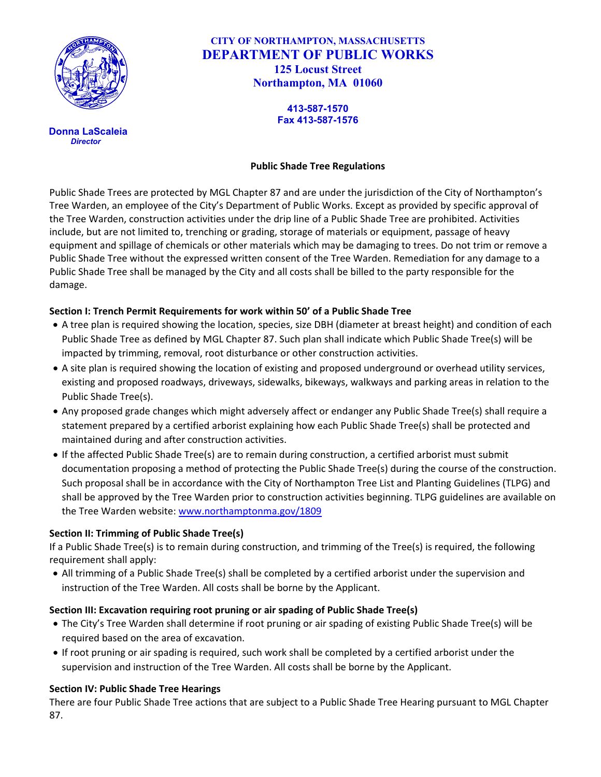

 **Donna LaScaleia** *Director*

**CITY OF NORTHAMPTON, MASSACHUSETTS DEPARTMENT OF PUBLIC WORKS 125 Locust Street Northampton, MA 01060**

> **413-587-1570 Fax 413-587-1576**

#### **Public Shade Tree Regulations**

Public Shade Trees are protected by MGL Chapter 87 and are under the jurisdiction of the City of Northampton's Tree Warden, an employee of the City's Department of Public Works. Except as provided by specific approval of the Tree Warden, construction activities under the drip line of a Public Shade Tree are prohibited. Activities include, but are not limited to, trenching or grading, storage of materials or equipment, passage of heavy equipment and spillage of chemicals or other materials which may be damaging to trees. Do not trim or remove a Public Shade Tree without the expressed written consent of the Tree Warden. Remediation for any damage to a Public Shade Tree shall be managed by the City and all costs shall be billed to the party responsible for the damage.

#### **Section I: Trench Permit Requirements for work within 50' of a Public Shade Tree**

- A tree plan is required showing the location, species, size DBH (diameter at breast height) and condition of each Public Shade Tree as defined by MGL Chapter 87. Such plan shall indicate which Public Shade Tree(s) will be impacted by trimming, removal, root disturbance or other construction activities.
- A site plan is required showing the location of existing and proposed underground or overhead utility services, existing and proposed roadways, driveways, sidewalks, bikeways, walkways and parking areas in relation to the Public Shade Tree(s).
- Any proposed grade changes which might adversely affect or endanger any Public Shade Tree(s) shall require a statement prepared by a certified arborist explaining how each Public Shade Tree(s) shall be protected and maintained during and after construction activities.
- If the affected Public Shade Tree(s) are to remain during construction, a certified arborist must submit documentation proposing a method of protecting the Public Shade Tree(s) during the course of the construction. Such proposal shall be in accordance with the City of Northampton Tree List and Planting Guidelines (TLPG) and shall be approved by the Tree Warden prior to construction activities beginning. TLPG guidelines are available on the Tree Warden website: [www.northamptonma.gov/1809](http://www.northamptonma.gov/1809)

#### **Section II: Trimming of Public Shade Tree(s)**

If a Public Shade Tree(s) is to remain during construction, and trimming of the Tree(s) is required, the following requirement shall apply:

• All trimming of a Public Shade Tree(s) shall be completed by a certified arborist under the supervision and instruction of the Tree Warden. All costs shall be borne by the Applicant.

#### **Section III: Excavation requiring root pruning or air spading of Public Shade Tree(s)**

- The City's Tree Warden shall determine if root pruning or air spading of existing Public Shade Tree(s) will be required based on the area of excavation.
- If root pruning or air spading is required, such work shall be completed by a certified arborist under the supervision and instruction of the Tree Warden. All costs shall be borne by the Applicant.

#### **Section IV: Public Shade Tree Hearings**

There are four Public Shade Tree actions that are subject to a Public Shade Tree Hearing pursuant to MGL Chapter 87.